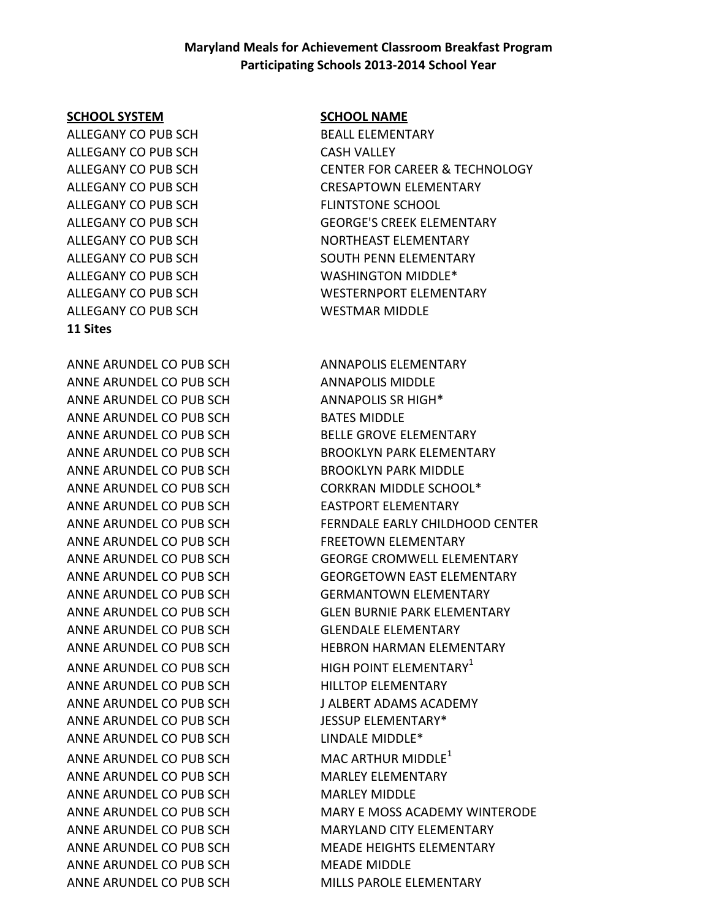### **Maryland Meals for Achievement Classroom Breakfast Program Participating Schools 2013-2014 School Year**

#### **SCHOOL SYSTEM SCHOOL NAME**

ALLEGANY CO PUB SCH BEALL ELEMENTARY ALLEGANY CO PUB SCH CASH VALLEY ALLEGANY CO PUB SCH FLINTSTONE SCHOOL ALLEGANY CO PUB SCH WASHINGTON MIDDLE\* ALLEGANY CO PUB SCH WESTMAR MIDDLE **11 Sites**

ANNE ARUNDEL CO PUB SCH ANNAPOLIS ELEMENTARY ANNE ARUNDEL CO PUB SCH ANNAPOLIS MIDDLE ANNE ARUNDEL CO PUB SCH ANNAPOLIS SR HIGH\* ANNE ARUNDEL CO PUB SCH BATES MIDDLE ANNE ARUNDEL CO PUB SCH BELLE GROVE ELEMENTARY ANNE ARUNDEL CO PUB SCH BROOKLYN PARK MIDDLE ANNE ARUNDEL CO PUB SCH CORKRAN MIDDLE SCHOOL\* ANNE ARUNDEL CO PUB SCH EASTPORT ELEMENTARY ANNE ARUNDEL CO PUB SCH FREETOWN ELEMENTARY ANNE ARUNDEL CO PUB SCH GERMANTOWN ELEMENTARY ANNE ARUNDEL CO PUB SCH GLENDALE ELEMENTARY ANNE ARUNDEL CO PUB SCH HIGH POINT ELEMENTARY<sup>1</sup> ANNE ARUNDEL CO PUB SCH HILLTOP ELEMENTARY ANNE ARUNDEL CO PUB SCH J ALBERT ADAMS ACADEMY ANNE ARUNDEL CO PUB SCH JESSUP ELEMENTARY\* ANNE ARUNDEL CO PUB SCH
LINDALE MIDDLE\* ANNE ARUNDEL CO PUB SCHNDEL MAC ARTHUR MIDDLE<sup>1</sup> ANNE ARUNDEL CO PUB SCH MARLEY ELEMENTARY ANNE ARUNDEL CO PUB SCH MARLEY MIDDLE ANNE ARUNDEL CO PUB SCHNOROM MEADE MIDDLE ANNE ARUNDEL CO PUB SCH MILLS PAROLE ELEMENTARY

ALLEGANY CO PUB SCH CENTER FOR CAREER & TECHNOLOGY ALLEGANY CO PUB SCH CRESAPTOWN ELEMENTARY ALLEGANY CO PUB SCH GEORGE'S CREEK ELEMENTARY ALLEGANY CO PUB SCH NORTHEAST ELEMENTARY ALLEGANY CO PUB SCH SOUTH PENN ELEMENTARY ALLEGANY CO PUB SCH WESTERNPORT ELEMENTARY

ANNE ARUNDEL CO PUB SCH BROOKLYN PARK ELEMENTARY ANNE ARUNDEL CO PUB SCH FERNDALE EARLY CHILDHOOD CENTER ANNE ARUNDEL CO PUB SCH GEORGE CROMWELL ELEMENTARY ANNE ARUNDEL CO PUB SCH GEORGETOWN EAST ELEMENTARY ANNE ARUNDEL CO PUB SCH GLEN BURNIE PARK ELEMENTARY ANNE ARUNDEL CO PUB SCH HEBRON HARMAN ELEMENTARY ANNE ARUNDEL CO PUB SCH MARY E MOSS ACADEMY WINTERODE ANNE ARUNDEL CO PUB SCH MARYLAND CITY ELEMENTARY ANNE ARUNDEL CO PUB SCH MEADE HEIGHTS ELEMENTARY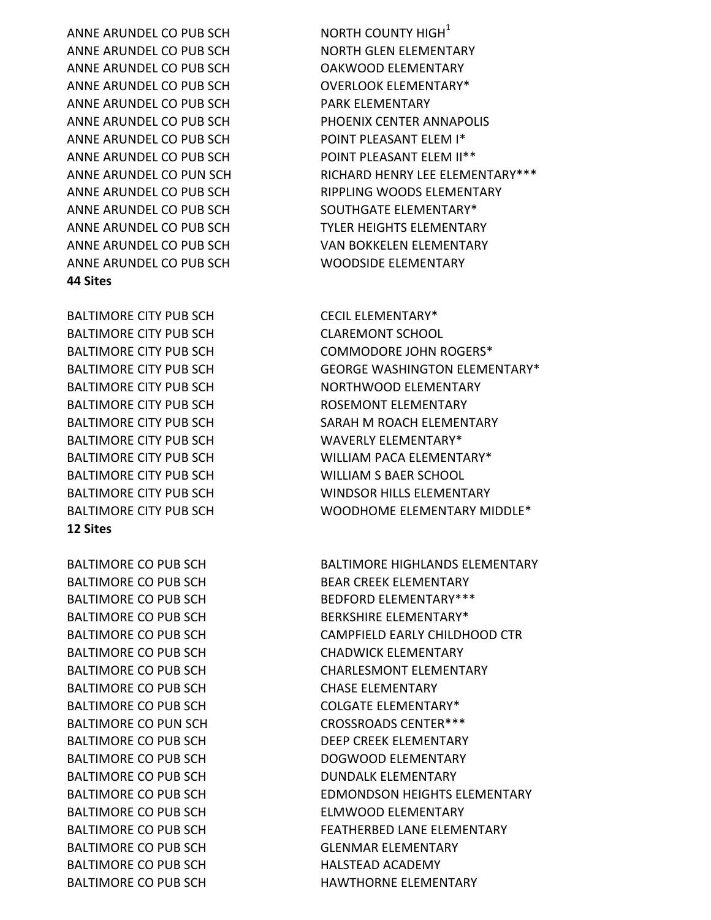ANNE ARUNDEL CO PUB SCH NORTH COUNTY HIGH $^1$ ANNE ARUNDEL CO PUB SCH NORTH GLEN ELEMENTARY ANNE ARUNDEL CO PUB SCH OAKWOOD ELEMENTARY ANNE ARUNDEL CO PUB SCH OVERLOOK ELEMENTARY\* ANNE ARUNDEL CO PUB SCH PARK ELEMENTARY ANNE ARUNDEL CO PUB SCH PHOENIX CENTER ANNAPOLIS ANNE ARUNDEL CO PUB SCH POINT PLEASANT ELEM I\* ANNE ARUNDEL CO PUB SCH POINT PLEASANT ELEM II\*\* ANNE ARUNDEL CO PUB SCH SOUTHGATE ELEMENTARY\* ANNE ARUNDEL CO PUB SCH TYLER HEIGHTS ELEMENTARY ANNE ARUNDEL CO PUB SCH VAN BOKKELEN ELEMENTARY ANNE ARUNDEL CO PUB SCH WOODSIDE ELEMENTARY **44 Sites**

BALTIMORE CITY PUB SCH CECIL ELEMENTARY\* BALTIMORE CITY PUB SCH CLAREMONT SCHOOL BALTIMORE CITY PUB SCH ROSEMONT ELEMENTARY BALTIMORE CITY PUB SCH WAVERLY ELEMENTARY\* BALTIMORE CITY PUB SCH WILLIAM S BAER SCHOOL **12 Sites**

BALTIMORE CO PUB SCH BEAR CREEK ELEMENTARY BALTIMORE CO PUB SCH BERKSHIRE ELEMENTARY\* BALTIMORE CO PUB SCH CHADWICK ELEMENTARY BALTIMORE CO PUB SCH CHASE ELEMENTARY BALTIMORE CO PUB SCH COLGATE ELEMENTARY\* BALTIMORE CO PUN SCH CROSSROADS CENTER\*\*\* BALTIMORE CO PUB SCH DEEP CREEK ELEMENTARY BALTIMORE CO PUB SCH DOGWOOD ELEMENTARY BALTIMORE CO PUB SCH DUNDALK ELEMENTARY BALTIMORE CO PUB SCH ELMWOOD ELEMENTARY BALTIMORE CO PUB SCH GLENMAR ELEMENTARY BALTIMORE CO PUB SCH HALSTEAD ACADEMY

ANNE ARUNDEL CO PUN SCH RICHARD HENRY LEE ELEMENTARY\*\*\* ANNE ARUNDEL CO PUB SCH RIPPLING WOODS ELEMENTARY

BALTIMORE CITY PUB SCH COMMODORE JOHN ROGERS\* BALTIMORE CITY PUB SCH GEORGE WASHINGTON ELEMENTARY\* BALTIMORE CITY PUB SCH NORTHWOOD ELEMENTARY BALTIMORE CITY PUB SCH SARAH M ROACH ELEMENTARY BALTIMORE CITY PUB SCH WILLIAM PACA ELEMENTARY\* BALTIMORE CITY PUB SCH WINDSOR HILLS ELEMENTARY BALTIMORE CITY PUB SCH WOODHOME ELEMENTARY MIDDLE\*

BALTIMORE CO PUB SCH BALTIMORE HIGHLANDS ELEMENTARY BALTIMORE CO PUB SCH BEDFORD ELEMENTARY\*\*\* BALTIMORE CO PUB SCH CAMPFIELD EARLY CHILDHOOD CTR BALTIMORE CO PUB SCH CHARLESMONT ELEMENTARY BALTIMORE CO PUB SCH EDMONDSON HEIGHTS ELEMENTARY BALTIMORE CO PUB SCH FEATHERBED LANE ELEMENTARY BALTIMORE CO PUB SCH HAWTHORNE ELEMENTARY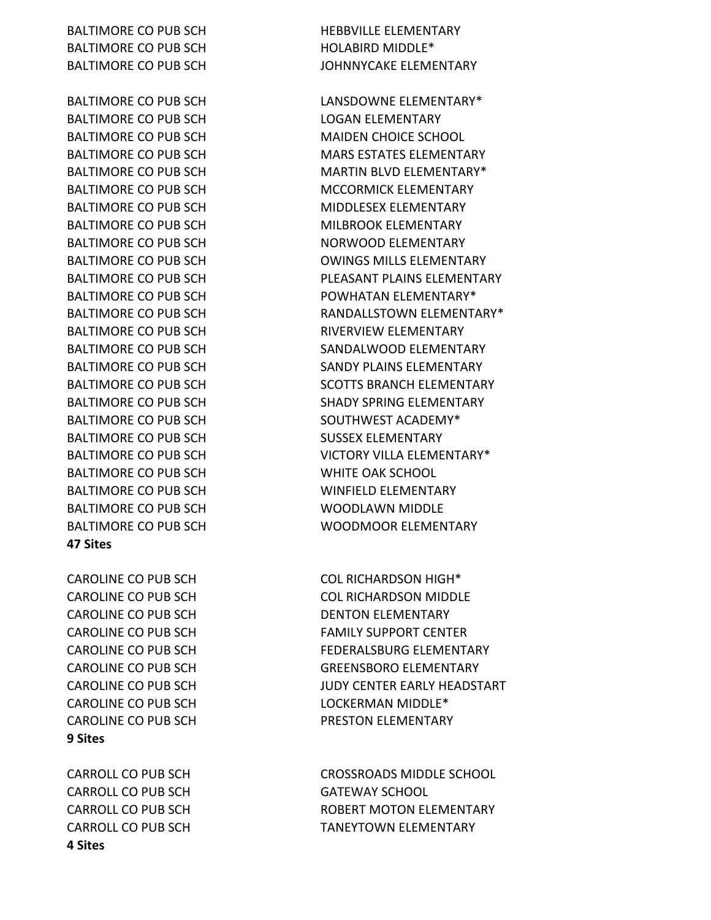BALTIMORE CO PUB SCH HOLABIRD MIDDLE<sup>\*</sup>

BALTIMORE CO PUB SCH LOGAN ELEMENTARY BALTIMORE CO PUB SCH MAIDEN CHOICE SCHOOL BALTIMORE CO PUB SCH MIDDLESEX ELEMENTARY BALTIMORE CO PUB SCH MILBROOK ELEMENTARY BALTIMORE CO PUB SCH NORWOOD ELEMENTARY BALTIMORE CO PUB SCH RIVERVIEW ELEMENTARY BALTIMORE CO PUB SCH SOUTHWEST ACADEMY\* BALTIMORE CO PUB SCH SUSSEX ELEMENTARY BALTIMORE CO PUB SCH WHITE OAK SCHOOL BALTIMORE CO PUB SCH WINFIELD ELEMENTARY BALTIMORE CO PUB SCH WOODLAWN MIDDLE **47 Sites**

CAROLINE CO PUB SCH DENTON ELEMENTARY CAROLINE CO PUB SCH LOCKERMAN MIDDLE<sup>\*</sup> CAROLINE CO PUB SCH PRESTON ELEMENTARY **9 Sites**

CARROLL CO PUB SCH GATEWAY SCHOOL **4 Sites**

BALTIMORE CO PUB SCH HEBBVILLE ELEMENTARY BALTIMORE CO PUB SCH JOHNNYCAKE ELEMENTARY

BALTIMORE CO PUB SCH LANSDOWNE ELEMENTARY\* BALTIMORE CO PUB SCH MARS ESTATES ELEMENTARY BALTIMORE CO PUB SCH MARTIN BLVD ELEMENTARY\* BALTIMORE CO PUB SCH MCCORMICK ELEMENTARY BALTIMORE CO PUB SCH **OWINGS MILLS ELEMENTARY** BALTIMORE CO PUB SCH PLEASANT PLAINS ELEMENTARY BALTIMORE CO PUB SCH POWHATAN ELEMENTARY\* BALTIMORE CO PUB SCH RANDALLSTOWN ELEMENTARY\* BALTIMORE CO PUB SCH SANDALWOOD ELEMENTARY BALTIMORE CO PUB SCH SANDY PLAINS ELEMENTARY BALTIMORE CO PUB SCH SCOTTS BRANCH ELEMENTARY BALTIMORE CO PUB SCH SHADY SPRING ELEMENTARY BALTIMORE CO PUB SCH VICTORY VILLA ELEMENTARY\* BALTIMORE CO PUB SCH WOODMOOR ELEMENTARY

CAROLINE CO PUB SCH COL RICHARDSON HIGH<sup>\*</sup> CAROLINE CO PUB SCH COL RICHARDSON MIDDLE CAROLINE CO PUB SCH FAMILY SUPPORT CENTER CAROLINE CO PUB SCH FEDERALSBURG ELEMENTARY CAROLINE CO PUB SCH GREENSBORO ELEMENTARY CAROLINE CO PUB SCH JUDY CENTER EARLY HEADSTART

CARROLL CO PUB SCH CROSSROADS MIDDLE SCHOOL CARROLL CO PUB SCH **ROBERT MOTON ELEMENTARY** CARROLL CO PUB SCH TANEYTOWN ELEMENTARY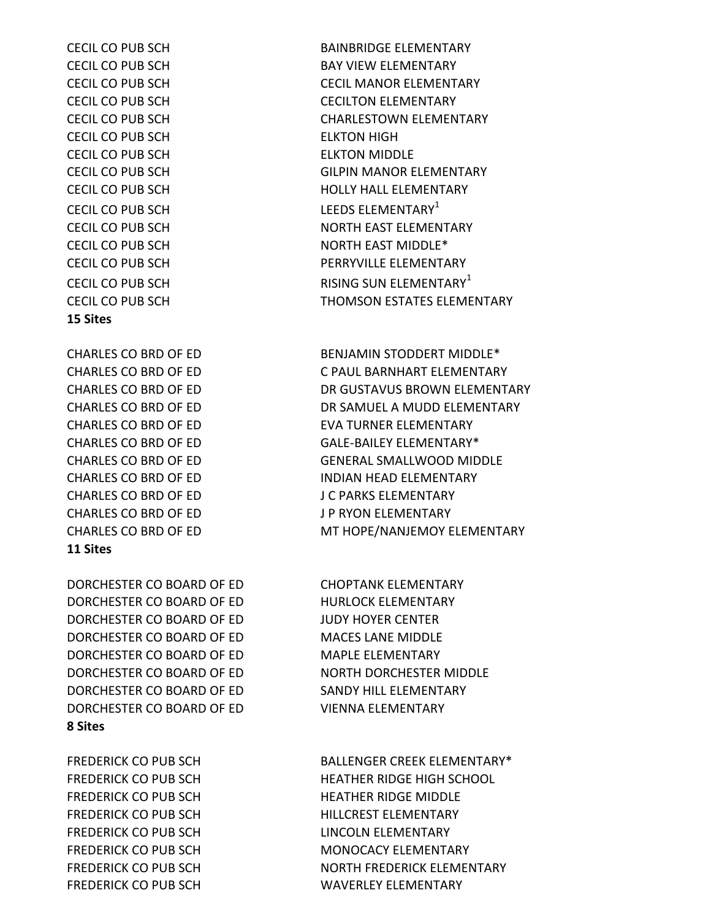FREDERICK CO PUB SCH LINCOLN ELEMENTARY

#### **8 Sites**

DORCHESTER CO BOARD OF ED CHOPTANK ELEMENTARY DORCHESTER CO BOARD OF ED HURLOCK ELEMENTARY DORCHESTER CO BOARD OF ED JUDY HOYER CENTER DORCHESTER CO BOARD OF ED MACES LANE MIDDLE DORCHESTER CO BOARD OF ED MAPLE ELEMENTARY DORCHESTER CO BOARD OF ED NORTH DORCHESTER MIDDLE DORCHESTER CO BOARD OF ED SANDY HILL ELEMENTARY DORCHESTER CO BOARD OF ED VIENNA ELEMENTARY

#### **11 Sites**

CHARLES CO BRD OF ED BENJAMIN STODDERT MIDDLE\* CHARLES CO BRD OF ED J C PARKS ELEMENTARY CHARLES CO BRD OF ED J P RYON ELEMENTARY

#### **15 Sites**

CECIL CO PUB SCH ELKTON HIGH CECIL CO PUB SCH ELKTON MIDDLE

FREDERICK CO PUB SCH BALLENGER CREEK ELEMENTARY\* FREDERICK CO PUB SCH HEATHER RIDGE HIGH SCHOOL FREDERICK CO PUB SCH HEATHER RIDGE MIDDLE FREDERICK CO PUB SCH HILLCREST ELEMENTARY FREDERICK CO PUB SCH MONOCACY ELEMENTARY FREDERICK CO PUB SCH NORTH FREDERICK ELEMENTARY FREDERICK CO PUB SCH WAVERLEY ELEMENTARY

CHARLES CO BRD OF ED C PAUL BARNHART ELEMENTARY CHARLES CO BRD OF ED DR GUSTAVUS BROWN ELEMENTARY CHARLES CO BRD OF ED **DR SAMUEL A MUDD ELEMENTARY** CHARLES CO BRD OF ED EVA TURNER ELEMENTARY CHARLES CO BRD OF ED GALE-BAILEY ELEMENTARY\* CHARLES CO BRD OF ED GENERAL SMALLWOOD MIDDLE CHARLES CO BRD OF ED INDIAN HEAD ELEMENTARY CHARLES CO BRD OF ED **MT HOPE/NANJEMOY ELEMENTARY** 

CECIL CO PUB SCH BAINBRIDGE ELEMENTARY CECIL CO PUB SCH BAY VIEW ELEMENTARY CECIL CO PUB SCH CECIL MANOR ELEMENTARY CECIL CO PUB SCH CECILTON ELEMENTARY CECIL CO PUB SCH CHARLESTOWN ELEMENTARY CECIL CO PUB SCH GILPIN MANOR ELEMENTARY CECIL CO PUB SCH **HOLLY HALL ELEMENTARY** CECIL CO PUB SCH LEEDS ELEMENTARY<sup>1</sup> CECIL CO PUB SCH NORTH EAST ELEMENTARY CECIL CO PUB SCH NORTH EAST MIDDLE\* CECIL CO PUB SCH PERRYVILLE ELEMENTARY CECIL CO PUB SCH RISING SUN ELEMENTARY<sup>1</sup> CECIL CO PUB SCH THOMSON ESTATES ELEMENTARY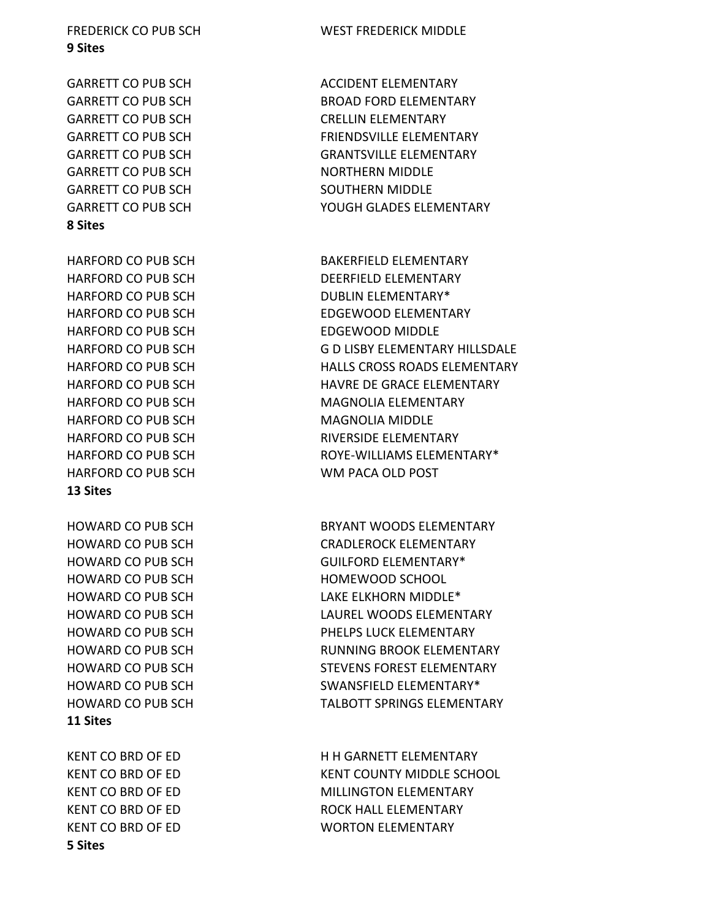**11 Sites 5 Sites**

**13 Sites** HOWARD CO PUB SCH HOMEWOOD SCHOOL

HARFORD CO PUB SCH DUBLIN ELEMENTARY\* HARFORD CO PUB SCH EDGEWOOD MIDDLE HARFORD CO PUB SCH MAGNOLIA MIDDLE HARFORD CO PUB SCH WM PACA OLD POST

# **8 Sites**

**9 Sites**

GARRETT CO PUB SCH CRELLIN ELEMENTARY GARRETT CO PUB SCH NORTHERN MIDDLE GARRETT CO PUB SCH SOUTHERN MIDDLE

FREDERICK CO PUB SCH WEST FREDERICK MIDDLE

GARRETT CO PUB SCH ACCIDENT ELEMENTARY GARRETT CO PUB SCH BROAD FORD ELEMENTARY GARRETT CO PUB SCH FRIENDSVILLE ELEMENTARY GARRETT CO PUB SCH GRANTSVILLE ELEMENTARY GARRETT CO PUB SCH YOUGH GLADES ELEMENTARY

HARFORD CO PUB SCH BAKERFIELD ELEMENTARY HARFORD CO PUB SCH DEERFIELD ELEMENTARY HARFORD CO PUB SCH EDGEWOOD ELEMENTARY HARFORD CO PUB SCH G D LISBY ELEMENTARY HILLSDALE HARFORD CO PUB SCH HALLS CROSS ROADS ELEMENTARY HARFORD CO PUB SCH HAVRE DE GRACE ELEMENTARY HARFORD CO PUB SCH MAGNOLIA ELEMENTARY HARFORD CO PUB SCH RIVERSIDE ELEMENTARY HARFORD CO PUB SCH **ROYE-WILLIAMS ELEMENTARY\*** 

HOWARD CO PUB SCH BRYANT WOODS ELEMENTARY HOWARD CO PUB SCH CRADLEROCK ELEMENTARY HOWARD CO PUB SCH GUILFORD ELEMENTARY\* HOWARD CO PUB SCH LAKE ELKHORN MIDDLE\* HOWARD CO PUB SCH LAUREL WOODS ELEMENTARY HOWARD CO PUB SCH PHELPS LUCK ELEMENTARY HOWARD CO PUB SCH RUNNING BROOK ELEMENTARY HOWARD CO PUB SCH STEVENS FOREST ELEMENTARY HOWARD CO PUB SCH SWANSFIELD ELEMENTARY\* HOWARD CO PUB SCH TALBOTT SPRINGS ELEMENTARY

KENT CO BRD OF ED H H GARNETT ELEMENTARY KENT CO BRD OF ED KENT COUNTY MIDDLE SCHOOL KENT CO BRD OF ED MILLINGTON ELEMENTARY KENT CO BRD OF ED ROCK HALL ELEMENTARY KENT CO BRD OF ED WORTON ELEMENTARY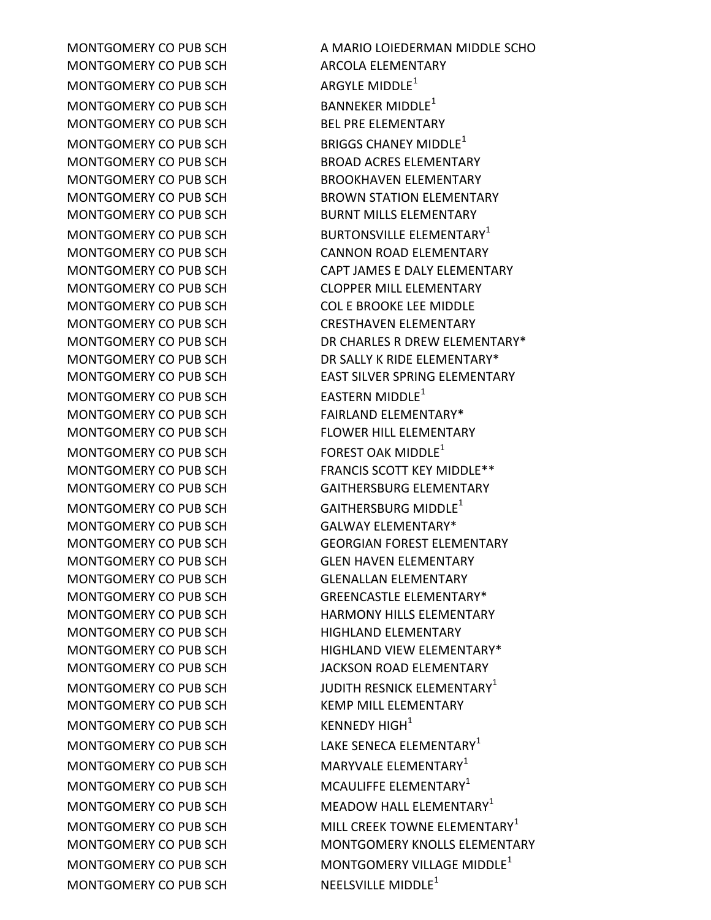MONTGOMERY CO PUB SCH ARCOLA ELEMENTARY MONTGOMERY CO PUB SCH ARGYLE MIDDLE<sup>1</sup> MONTGOMERY CO PUB SCH BANNEKER MIDDLE<sup>1</sup> MONTGOMERY CO PUB SCH BEL PRE ELEMENTARY MONTGOMERY CO PUB SCH BRIGGS CHANEY MIDDLE<sup>1</sup> MONTGOMERY CO PUB SCH BROAD ACRES ELEMENTARY MONTGOMERY CO PUB SCH BROOKHAVEN ELEMENTARY MONTGOMERY CO PUB SCH BURNT MILLS ELEMENTARY MONTGOMERY CO PUB SCH CANNON ROAD ELEMENTARY MONTGOMERY CO PUB SCH CLOPPER MILL ELEMENTARY MONTGOMERY CO PUB SCH COL E BROOKE LEE MIDDLE MONTGOMERY CO PUB SCH CRESTHAVEN ELEMENTARY MONTGOMERY CO PUB SCH EASTERN MIDDLE<sup>1</sup> MONTGOMERY CO PUB SCH FAIRLAND ELEMENTARY\* MONTGOMERY CO PUB SCH FLOWER HILL ELEMENTARY MONTGOMERY CO PUB SCH FOREST OAK MIDDLE<sup>1</sup> MONTGOMERY CO PUB SCH GAITHERSBURG MIDDLE<sup>1</sup> MONTGOMERY CO PUB SCH GALWAY ELEMENTARY\* MONTGOMERY CO PUB SCH GLEN HAVEN ELEMENTARY MONTGOMERY CO PUB SCH GLENALLAN ELEMENTARY MONTGOMERY CO PUB SCH GREENCASTLE ELEMENTARY\* MONTGOMERY CO PUB SCH HIGHLAND ELEMENTARY MONTGOMERY CO PUB SCH JACKSON ROAD ELEMENTARY MONTGOMERY CO PUB SCH KEMP MILL ELEMENTARY MONTGOMERY CO PUB SCH KENNEDY HIGH<sup>1</sup> MONTGOMERY CO PUB SCH LAKE SENECA ELEMENTARY<sup>1</sup> MONTGOMERY CO PUB SCH MARYVALE ELEMENTARY<sup>1</sup> MONTGOMERY CO PUB SCH MCAULIFFE ELEMENTARY<sup>1</sup> MONTGOMERY CO PUB SCH NEELSVILLE MIDDLE<sup>1</sup>

MONTGOMERY CO PUB SCH A MARIO LOIEDERMAN MIDDLE SCHO MONTGOMERY CO PUB SCH BROWN STATION ELEMENTARY MONTGOMERY CO PUB SCH BURTONSVILLE ELEMENTARY<sup>1</sup> MONTGOMERY CO PUB SCH CAPT JAMES E DALY ELEMENTARY MONTGOMERY CO PUB SCH DR CHARLES R DREW ELEMENTARY\* MONTGOMERY CO PUB SCH DR SALLY K RIDE ELEMENTARY\* MONTGOMERY CO PUB SCH EAST SILVER SPRING ELEMENTARY MONTGOMERY CO PUB SCH FRANCIS SCOTT KEY MIDDLE \*\* MONTGOMERY CO PUB SCH GAITHERSBURG ELEMENTARY MONTGOMERY CO PUB SCH GEORGIAN FOREST ELEMENTARY MONTGOMERY CO PUB SCH HARMONY HILLS ELEMENTARY MONTGOMERY CO PUB SCH HIGHLAND VIEW ELEMENTARY\* MONTGOMERY CO PUB SCH JUDITH RESNICK ELEMENTARY<sup>1</sup> MONTGOMERY CO PUB SCH MEADOW HALL ELEMENTARY<sup>1</sup> MONTGOMERY CO PUB SCH MILL CREEK TOWNE ELEMENTARY<sup>1</sup> MONTGOMERY CO PUB SCH MONTGOMERY KNOLLS ELEMENTARY MONTGOMERY CO PUB SCH MONTGOMERY VILLAGE MIDDLE<sup>1</sup>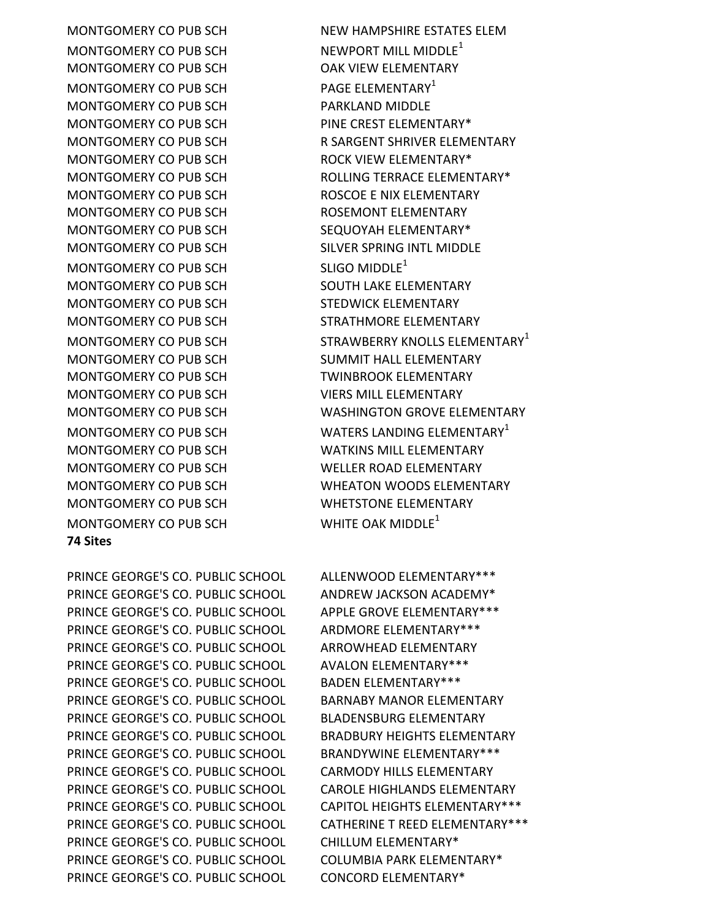PRINCE GEORGE'S CO. PUBLIC SCHOOL ALLENWOOD ELEMENTARY\*\*\* PRINCE GEORGE'S CO. PUBLIC SCHOOL ANDREW JACKSON ACADEMY\* PRINCE GEORGE'S CO. PUBLIC SCHOOL APPLE GROVE ELEMENTARY\*\*\* PRINCE GEORGE'S CO. PUBLIC SCHOOL ARDMORE ELEMENTARY\*\*\* PRINCE GEORGE'S CO. PUBLIC SCHOOL ARROWHEAD ELEMENTARY PRINCE GEORGE'S CO. PUBLIC SCHOOL AVALON ELEMENTARY\*\*\* PRINCE GEORGE'S CO. PUBLIC SCHOOL BADEN ELEMENTARY\*\*\* PRINCE GEORGE'S CO. PUBLIC SCHOOL BARNABY MANOR ELEMENTARY PRINCE GEORGE'S CO. PUBLIC SCHOOL BLADENSBURG ELEMENTARY PRINCE GEORGE'S CO. PUBLIC SCHOOL BRADBURY HEIGHTS ELEMENTARY PRINCE GEORGE'S CO. PUBLIC SCHOOL BRANDYWINE ELEMENTARY\*\*\* PRINCE GEORGE'S CO. PUBLIC SCHOOL CARMODY HILLS ELEMENTARY PRINCE GEORGE'S CO. PUBLIC SCHOOL CAROLE HIGHLANDS ELEMENTARY PRINCE GEORGE'S CO. PUBLIC SCHOOL CAPITOL HEIGHTS ELEMENTARY\*\*\* PRINCE GEORGE'S CO. PUBLIC SCHOOL CATHERINE T REED ELEMENTARY\*\*\* PRINCE GEORGE'S CO. PUBLIC SCHOOL CHILLUM ELEMENTARY\* PRINCE GEORGE'S CO. PUBLIC SCHOOL COLUMBIA PARK ELEMENTARY\* PRINCE GEORGE'S CO. PUBLIC SCHOOL CONCORD ELEMENTARY\*

MONTGOMERY CO PUB SCH WHITE OAK MIDDLE<sup>1</sup>

MONTGOMERY CO PUB SCH WATERS LANDING ELEMENTARY<sup>1</sup>

MONTGOMERY CO PUB SCH ROLLING TERRACE ELEMENTARY\* MONTGOMERY CO PUB SCH ROSCOE E NIX ELEMENTARY MONTGOMERY CO PUB SCH SILVER SPRING INTL MIDDLE MONTGOMERY CO PUB SCH STRATHMORE ELEMENTARY MONTGOMERY CO PUB SCH STRAWBERRY KNOLLS ELEMENTARY<sup>1</sup> MONTGOMERY CO PUB SCH SUMMIT HALL ELEMENTARY MONTGOMERY CO PUB SCH WASHINGTON GROVE ELEMENTARY

MONTGOMERY CO PUB SCH NEW HAMPSHIRE ESTATES ELEM MONTGOMERY CO PUB SCH NEWPORT MILL MIDDLE<sup>1</sup> MONTGOMERY CO PUB SCH OAK VIEW ELEMENTARY MONTGOMERY CO PUB SCH PAGE ELEMENTARY<sup>1</sup> MONTGOMERY CO PUB SCH PARKLAND MIDDLE MONTGOMERY CO PUB SCH PINE CREST ELEMENTARY\* MONTGOMERY CO PUB SCH RIGHT R SARGENT SHRIVER ELEMENTARY MONTGOMERY CO PUB SCH ROCK VIEW ELEMENTARY\* MONTGOMERY CO PUB SCH ROSEMONT ELEMENTARY MONTGOMERY CO PUB SCH SEQUOYAH ELEMENTARY\* MONTGOMERY CO PUB SCH SLIGO MIDDLE<sup>1</sup> MONTGOMERY CO PUB SCH SOUTH LAKE ELEMENTARY MONTGOMERY CO PUB SCH STEDWICK ELEMENTARY MONTGOMERY CO PUB SCH TWINBROOK ELEMENTARY MONTGOMERY CO PUB SCH VIERS MILL ELEMENTARY MONTGOMERY CO PUB SCH WATKINS MILL ELEMENTARY MONTGOMERY CO PUB SCH WELLER ROAD ELEMENTARY MONTGOMERY CO PUB SCH WHEATON WOODS ELEMENTARY MONTGOMERY CO PUB SCH WHETSTONE ELEMENTARY

**74 Sites**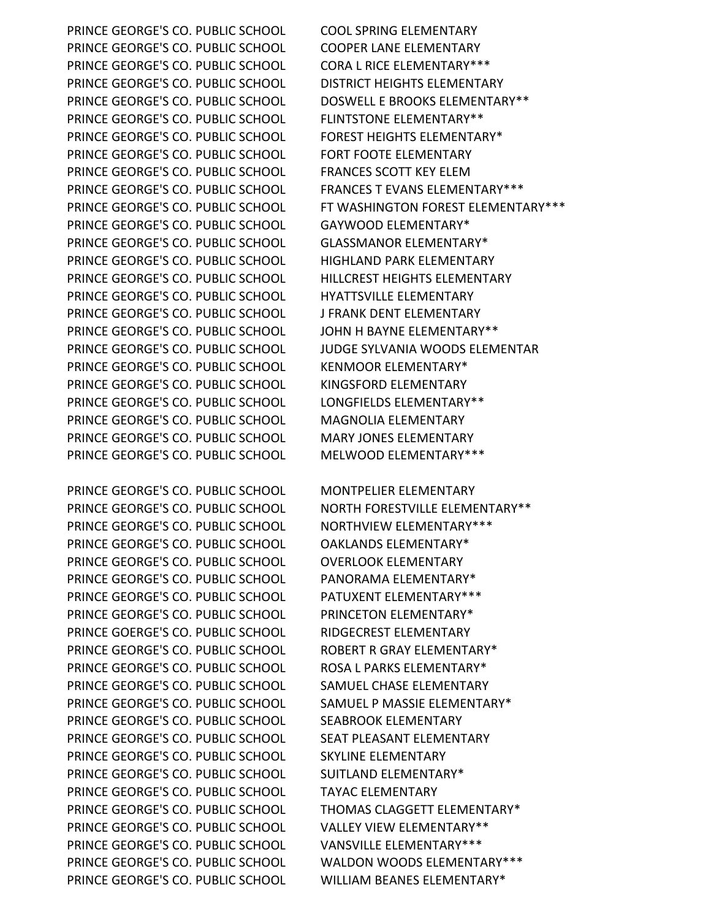PRINCE GEORGE'S CO. PUBLIC SCHOOL COOL SPRING ELEMENTARY PRINCE GEORGE'S CO. PUBLIC SCHOOL COOPER LANE ELEMENTARY PRINCE GEORGE'S CO. PUBLIC SCHOOL CORA L RICE ELEMENTARY\*\*\* PRINCE GEORGE'S CO. PUBLIC SCHOOL DISTRICT HEIGHTS ELEMENTARY PRINCE GEORGE'S CO. PUBLIC SCHOOL DOSWELL E BROOKS ELEMENTARY\*\* PRINCE GEORGE'S CO. PUBLIC SCHOOL FLINTSTONE ELEMENTARY\*\* PRINCE GEORGE'S CO. PUBLIC SCHOOL FOREST HEIGHTS ELEMENTARY\* PRINCE GEORGE'S CO. PUBLIC SCHOOL FORT FOOTE ELEMENTARY PRINCE GEORGE'S CO. PUBLIC SCHOOL FRANCES SCOTT KEY ELEM PRINCE GEORGE'S CO. PUBLIC SCHOOL FRANCES T EVANS ELEMENTARY\*\*\* PRINCE GEORGE'S CO. PUBLIC SCHOOL GAYWOOD ELEMENTARY\* PRINCE GEORGE'S CO. PUBLIC SCHOOL GLASSMANOR ELEMENTARY\* PRINCE GEORGE'S CO. PUBLIC SCHOOL HIGHLAND PARK ELEMENTARY PRINCE GEORGE'S CO. PUBLIC SCHOOL HILLCREST HEIGHTS ELEMENTARY PRINCE GEORGE'S CO. PUBLIC SCHOOL HYATTSVILLE ELEMENTARY PRINCE GEORGE'S CO. PUBLIC SCHOOL J FRANK DENT ELEMENTARY PRINCE GEORGE'S CO. PUBLIC SCHOOL JOHN H BAYNE ELEMENTARY\*\* PRINCE GEORGE'S CO. PUBLIC SCHOOL JUDGE SYLVANIA WOODS ELEMENTAR PRINCE GEORGE'S CO. PUBLIC SCHOOL KENMOOR ELEMENTARY\* PRINCE GEORGE'S CO. PUBLIC SCHOOL KINGSFORD ELEMENTARY PRINCE GEORGE'S CO. PUBLIC SCHOOL LONGFIELDS ELEMENTARY\*\* PRINCE GEORGE'S CO. PUBLIC SCHOOL MAGNOLIA ELEMENTARY PRINCE GEORGE'S CO. PUBLIC SCHOOL MARY JONES ELEMENTARY PRINCE GEORGE'S CO. PUBLIC SCHOOL MELWOOD ELEMENTARY\*\*\*

PRINCE GEORGE'S CO. PUBLIC SCHOOL MONTPELIER ELEMENTARY PRINCE GEORGE'S CO. PUBLIC SCHOOL NORTH FORESTVILLE ELEMENTARY\*\* PRINCE GEORGE'S CO. PUBLIC SCHOOL NORTHVIEW ELEMENTARY\*\*\* PRINCE GEORGE'S CO. PUBLIC SCHOOL OAKLANDS ELEMENTARY\* PRINCE GEORGE'S CO. PUBLIC SCHOOL OVERLOOK ELEMENTARY PRINCE GEORGE'S CO. PUBLIC SCHOOL PANORAMA ELEMENTARY\* PRINCE GEORGE'S CO. PUBLIC SCHOOL PATUXENT ELEMENTARY\*\*\* PRINCE GEORGE'S CO. PUBLIC SCHOOL PRINCETON ELEMENTARY\* PRINCE GOERGE'S CO. PUBLIC SCHOOL RIDGECREST ELEMENTARY PRINCE GEORGE'S CO. PUBLIC SCHOOL ROBERT R GRAY ELEMENTARY\* PRINCE GEORGE'S CO. PUBLIC SCHOOL ROSA L PARKS ELEMENTARY\* PRINCE GEORGE'S CO. PUBLIC SCHOOL SAMUEL CHASE ELEMENTARY PRINCE GEORGE'S CO. PUBLIC SCHOOL SAMUEL P MASSIE ELEMENTARY\* PRINCE GEORGE'S CO. PUBLIC SCHOOL SEABROOK ELEMENTARY PRINCE GEORGE'S CO. PUBLIC SCHOOL SEAT PLEASANT ELEMENTARY PRINCE GEORGE'S CO. PUBLIC SCHOOL SKYLINE ELEMENTARY PRINCE GEORGE'S CO. PUBLIC SCHOOL SUITLAND ELEMENTARY\* PRINCE GEORGE'S CO. PUBLIC SCHOOL TAYAC ELEMENTARY PRINCE GEORGE'S CO. PUBLIC SCHOOL THOMAS CLAGGETT ELEMENTARY\* PRINCE GEORGE'S CO. PUBLIC SCHOOL VALLEY VIEW ELEMENTARY\*\* PRINCE GEORGE'S CO. PUBLIC SCHOOL VANSVILLE ELEMENTARY\*\*\* PRINCE GEORGE'S CO. PUBLIC SCHOOL WALDON WOODS ELEMENTARY\*\*\* PRINCE GEORGE'S CO. PUBLIC SCHOOL WILLIAM BEANES ELEMENTARY\*

PRINCE GEORGE'S CO. PUBLIC SCHOOL FT WASHINGTON FOREST ELEMENTARY\*\*\*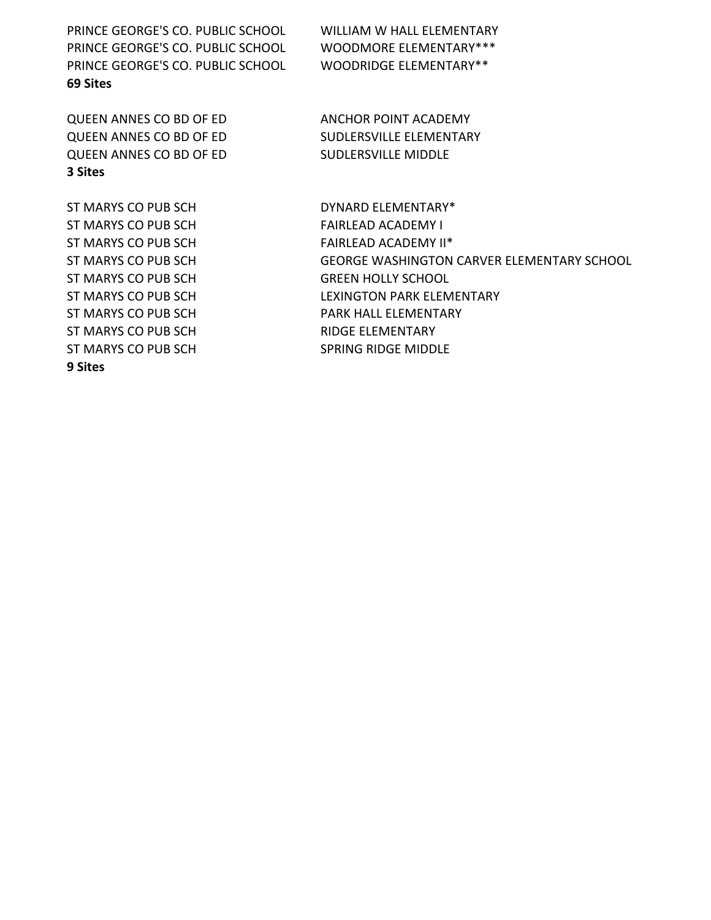PRINCE GEORGE'S CO. PUBLIC SCHOOL WILLIAM W HALL ELEMENTARY PRINCE GEORGE'S CO. PUBLIC SCHOOL WOODMORE ELEMENTARY\*\*\* PRINCE GEORGE'S CO. PUBLIC SCHOOL WOODRIDGE ELEMENTARY\*\* **69 Sites**

QUEEN ANNES CO BD OF ED ANCHOR POINT ACADEMY QUEEN ANNES CO BD OF ED SUDLERSVILLE ELEMENTARY QUEEN ANNES CO BD OF ED SUDLERSVILLE MIDDLE **3 Sites**

ST MARYS CO PUB SCH FAIRLEAD ACADEMY I ST MARYS CO PUB SCH FAIRLEAD ACADEMY II\* ST MARYS CO PUB SCH GREEN HOLLY SCHOOL ST MARYS CO PUB SCH RIDGE ELEMENTARY ST MARYS CO PUB SCH SPRING RIDGE MIDDLE **9 Sites**

ST MARYS CO PUB SCH DYNARD ELEMENTARY\* ST MARYS CO PUB SCH GEORGE WASHINGTON CARVER ELEMENTARY SCHOOL ST MARYS CO PUB SCH LEXINGTON PARK ELEMENTARY ST MARYS CO PUB SCH PARK HALL ELEMENTARY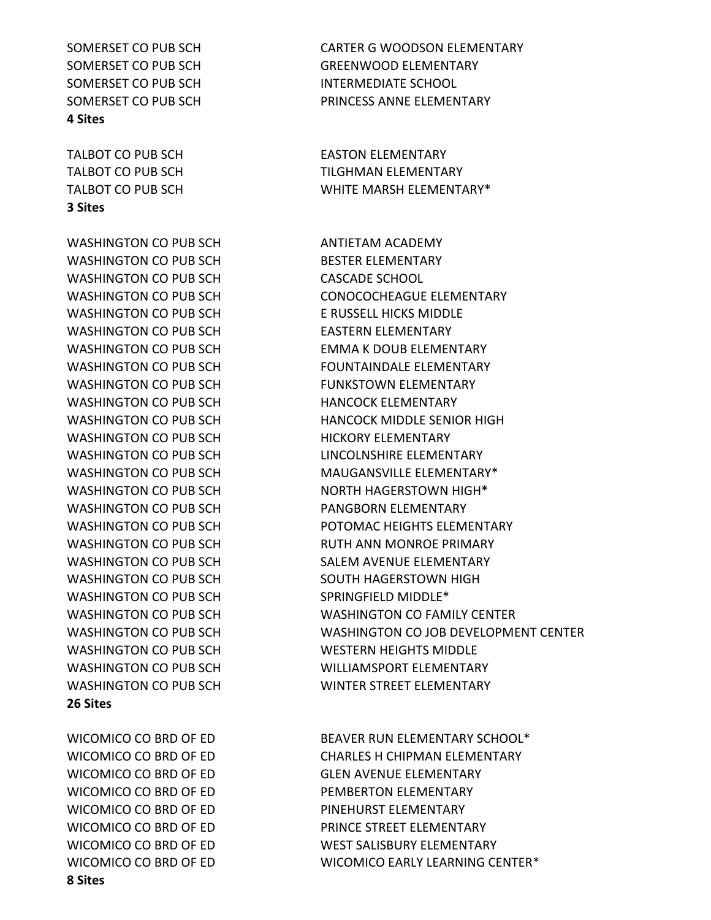SOMERSET CO PUB SCH INTERMEDIATE SCHOOL **4 Sites**

**3 Sites**

WASHINGTON CO PUB SCH ANTIETAM ACADEMY WASHINGTON CO PUB SCH BESTER ELEMENTARY WASHINGTON CO PUB SCH CASCADE SCHOOL WASHINGTON CO PUB SCH<br>
E RUSSELL HICKS MIDDLE WASHINGTON CO PUB SCH EASTERN ELEMENTARY WASHINGTON CO PUB SCH FUNKSTOWN ELEMENTARY WASHINGTON CO PUB SCH HANCOCK ELEMENTARY WASHINGTON CO PUB SCH HICKORY ELEMENTARY WASHINGTON CO PUB SCH PANGBORN ELEMENTARY WASHINGTON CO PUB SCH SOUTH HAGERSTOWN HIGH WASHINGTON CO PUB SCH SPRINGFIELD MIDDLE\* WASHINGTON CO PUB SCH WESTERN HEIGHTS MIDDLE **26 Sites**

WICOMICO CO BRD OF ED **EXAMPLE A PEMBERTON ELEMENTARY** WICOMICO CO BRD OF ED PINEHURST ELEMENTARY **8 Sites**

SOMERSET CO PUB SCH CARTER G WOODSON ELEMENTARY SOMERSET CO PUB SCH GREENWOOD ELEMENTARY SOMERSET CO PUB SCH **EXECUTE:** PRINCESS ANNE ELEMENTARY

TALBOT CO PUB SCH EASTON ELEMENTARY TALBOT CO PUB SCH TILGHMAN ELEMENTARY TALBOT CO PUB SCH WHITE MARSH ELEMENTARY\*

WASHINGTON CO PUB SCH CONOCOCHEAGUE ELEMENTARY WASHINGTON CO PUB SCH EMMA K DOUB ELEMENTARY WASHINGTON CO PUB SCH FOUNTAINDALE ELEMENTARY WASHINGTON CO PUB SCH **HANCOCK MIDDLE SENIOR HIGH** WASHINGTON CO PUB SCH LINCOLNSHIRE ELEMENTARY WASHINGTON CO PUB SCH MAUGANSVILLE ELEMENTARY\* WASHINGTON CO PUB SCH NORTH HAGERSTOWN HIGH<sup>\*</sup> WASHINGTON CO PUB SCH POTOMAC HEIGHTS ELEMENTARY WASHINGTON CO PUB SCH RUTH ANN MONROE PRIMARY WASHINGTON CO PUB SCH SALEM AVENUE ELEMENTARY WASHINGTON CO PUB SCH WASHINGTON CO FAMILY CENTER WASHINGTON CO PUB SCH WASHINGTON CO JOB DEVELOPMENT CENTER WASHINGTON CO PUB SCH WILLIAMSPORT ELEMENTARY WASHINGTON CO PUB SCH WINTER STREET ELEMENTARY

WICOMICO CO BRD OF ED BEAVER RUN ELEMENTARY SCHOOL\* WICOMICO CO BRD OF ED CHARLES H CHIPMAN ELEMENTARY WICOMICO CO BRD OF ED GLEN AVENUE ELEMENTARY WICOMICO CO BRD OF ED **EXAMPLE STREET ELEMENTARY** WICOMICO CO BRD OF ED WEST SALISBURY ELEMENTARY WICOMICO CO BRD OF ED WICOMICO EARLY LEARNING CENTER\*